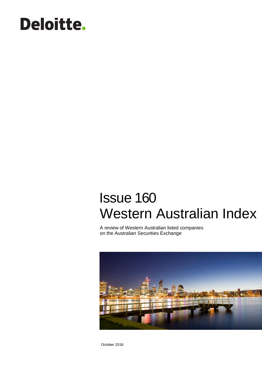# Deloitte.

## Issue 160 Western Australian Index

A review of Western Australian listed companies on the Australian Securities Exchange



October 2016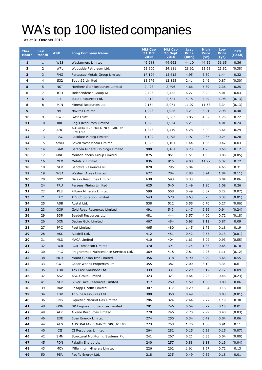## WA's top 100 listed companies

**as at 31 October 2016**

| <b>This</b><br><b>Month</b> | Last<br><b>Month</b> | <b>ASX</b> | <b>Long Company Name</b>             | <b>Mkt Cap</b><br>31 Oct | <b>Mkt Cap</b><br>30 Sept | Last<br><b>Price</b> | <b>High</b><br><b>Price</b> | Low<br><b>Price</b> | <b>EPS</b><br>(PoAb) |
|-----------------------------|----------------------|------------|--------------------------------------|--------------------------|---------------------------|----------------------|-----------------------------|---------------------|----------------------|
|                             |                      |            |                                      | 2016                     | 2016                      | (mth)                | (yr)                        | (yr)                |                      |
| $\mathbf{1}$                | $\mathbf{1}$         | <b>WES</b> | <b>Wesfarmers Limited</b>            | 46,288                   | 49,662                    | 44.10                | 44.59                       | 36.65               | 0.36                 |
| $\overline{\mathbf{2}}$     | 2                    | <b>WPL</b> | Woodside Petroleum Ltd.              | 23,900                   | 24,111                    | 28.62                | 32.63                       | 23.82               | (0.38)               |
| 3                           | 3                    | <b>FMG</b> | Fortescue Metals Group Limited       | 17,124                   | 15,412                    | 4.95                 | 5.30                        | 1.44                | 0.32                 |
| 4                           | 4                    | S32        | South32 Limited                      | 13,676                   | 12,825                    | 2.41                 | 2.46                        | 0.87                | (0.30)               |
| 5                           | 5                    | <b>NST</b> | Northern Star Resources Limited      | 2,498                    | 2,796                     | 4.66                 | 5.89                        | 2.36                | 0.25                 |
| 6                           | 7                    | IGO        | Independence Group NL                | 2,493                    | 2,452                     | 6.27                 | 8.20                        | 5.01                | 0.03                 |
| $\overline{\mathbf{z}}$     | 6                    | <b>ILU</b> | Iluka Resources Ltd.                 | 2,412                    | 2,621                     | 4.18                 | 4.49                        | 1.98                | (0.13)               |
| 8                           | 8                    | MIN        | Mineral Resources Ltd                | 2,164                    | 2,071                     | 11.07                | 11.68                       | 3.34                | (0.13)               |
| 9                           | 11                   | <b>NVT</b> | Navitas Limited                      | 1,923                    | 1,926                     | 3.21                 | 3.91                        | 2.98                | 0.48                 |
| 10                          | 9                    | <b>BWP</b> | <b>BWP Trust</b>                     | 1,908                    | 2,062                     | 3.86                 | 4.32                        | 1.76                | 0.22                 |
| 11                          | 10                   | <b>RRL</b> | Regis Resources Limited              | 1,628                    | 1,934                     | 5.21                 | 6.05                        | 4.01                | 0.24                 |
| 12                          | 12                   | AHG        | AUTOMOTIVE HOLDINGS GROUP<br>LIMITED | 1,343                    | 1,419                     | 4.28                 | 5.00                        | 3.64                | 0.29                 |
| 13                          | 13                   | <b>RSG</b> | Resolute Mining Limited              | 1,109                    | 1,298                     | 1.97                 | 2.35                        | 0.24                | 0.28                 |
| 14                          | 15                   | <b>SWM</b> | Seven West Media Limited             | 1,025                    | 1,101                     | 1.44                 | 1.86                        | 0.47                | 0.03                 |
| 15                          | 14                   | <b>SAR</b> | Saracen Mineral Holdings Limited     | 900                      | 1,161                     | 0.73                 | 1.23                        | 0.66                | 0.12                 |
| 16                          | 17                   | <b>MND</b> | Monadelphous Group Limited           | 875                      | 851                       | 1.51                 | 1.93                        | 0.86                | (0.05)               |
| 17                          | 16                   | <b>MLX</b> | Metals X Limited                     | 836                      | 915                       | 9.08                 | 11.92                       | 5.32                | 0.72                 |
| 18                          | 18                   | <b>SFR</b> | Sandfire Resources NL                | 820                      | 795                       | 5.04                 | 6.86                        | 4.65                | 0.31                 |
| 19                          | 19                   | <b>WSA</b> | Western Areas Limited                | 672                      | 784                       | 2.88                 | 3.24                        | 1.84                | (0.11)               |
| 20                          | 20                   | <b>GXY</b> | Galaxy Resources Limited             | 638                      | 593                       | 0.33                 | 0.58                        | 0.04                | 0.06                 |
| 21                          | 24                   | <b>PRU</b> | Perseus Mining Limited               | 625                      | 540                       | 1.49                 | 1.90                        | 1.09                | 0.26                 |
| 22                          | 22                   | <b>PLS</b> | Pilbara Minerals Limited             | 599                      | 558                       | 0.49                 | 0.87                        | 0.22                | (0.07)               |
| 23                          | 21                   | <b>TFC</b> | <b>TFS Corporation Limited</b>       | 543                      | 578                       | 0.63                 | 0.75                        | 0.35                | (0.01)               |
| 24                          | 25                   | ASB        | Austal Ltd.                          | 538                      | 512                       | 0.55                 | 0.70                        | 0.27                | (0.06)               |
| 25                          | 23                   | <b>GOR</b> | Gold Road Resources Limited          | 491                      | 543                       | 1.47                 | 2.56                        | 0.94                | (0.24)               |
| 26                          | 29                   | <b>BDR</b> | Beadell Resources Ltd                | 481                      | 444                       | 3.57                 | 4.00                        | 0.72                | (0.18)               |
| 27                          | 26                   | <b>DCN</b> | Dacian Gold Limited                  | 467                      | 484                       | 0.98                 | 1.12                        | 0.87                | 0.09                 |
| 28                          | 27                   | <b>PPC</b> | Peet Limited                         | 465                      | 480                       | 1.45                 | 1.75                        | 0.18                | 0.19                 |
| 29                          | 28                   | <b>ASL</b> | Ausdrill Ltd.                        | 412                      | 451                       | 0.42                 | 0.55                        | 0.13                | (0.01)               |
| 30                          | 31                   | <b>MLD</b> | <b>MACA Limited</b>                  | 410                      | 404                       | 1.63                 | 3.02                        | 0.93                | (0.55)               |
| 31                          | 32                   | RCR        | <b>RCR Tomlinson Limited</b>         | 370                      | 391                       | 1.74                 | 1.85                        | 0.65                | 0.10                 |
| 32                          | 30                   | <b>PRG</b> | Programmed Maintenance Services Ltd. | 369                      | 418                       | 2.81                 | 2.93                        | 1.11                | (0.12)               |
| 33                          | 38                   | <b>MGX</b> | Mount Gibson Iron Limited            | 356                      | 318                       | 4.90                 | 5.29                        | 3.65                | 0.55                 |
| 34                          | 33                   | <b>CWP</b> | Cedar Woods Properties Ltd.          | 355                      | 387                       | 7.00                 | 8.10                        | 3.34                | 0.61                 |
| 35                          | 35                   | <b>TOX</b> | Tox Free Solutions Ltd.              | 339                      | 331                       | 2.29                 | 3.17                        | 2.17                | 0.09                 |
| 36                          | 37                   | ASZ        | ASG Group Limited                    | 323                      | 321                       | 0.64                 | 2.25                        | 0.46                | (0.23)               |
| 37                          | 41                   | <b>SLR</b> | Silver Lake Resources Limited        | 317                      | 269                       | 1.59                 | 1.60                        | 0.88                | 0.06                 |
| 38                          | 39                   | <b>RAP</b> | ResApp Health Limited                | 307                      | 317                       | 0.29                 | 0.34                        | 0.16                | 0.08                 |
| 39                          | 34                   | <b>TBR</b> | Tribune Resources Ltd                | 300                      | 350                       | 0.49                 | 0.55                        | 0.03                | (0.01)               |
| 40                          | 36                   | LNG        | Liquefied Natural Gas Limited        | 286                      | 324                       | 2.44                 | 2.77                        | 1.19                | 0.30                 |
| 41                          | 48                   | <b>GNG</b> | GR Engineering Services Limited      | 281                      | 246                       | 0.54                 | 0.72                        | 0.15                | 0.01                 |
| 42                          | 49                   | ALK        | Alkane Resources Limited             | 278                      | 246                       | 2.70                 | 2.99                        | 0.48                | (0.03)               |
| 43                          | 46                   | <b>EDE</b> | Eden Energy Limited                  | 274                      | 250                       | 0.34                 | 0.42                        | 0.04                | 0.06                 |
| 44                          | 44                   | AFG        | AUSTRALIAN FINANCE GROUP LTD         | 273                      | 258                       | 1.20                 | 1.30                        | 0.91                | 0.11                 |
| 45                          | 40                   | <b>CII</b> | CI Resources Limited                 | 264                      | 282                       | 0.15                 | 0.29                        | 0.15                | (0.07)               |
| 46                          | 42                   | SMN        | Structural Monitoring Systems Plc    | 241                      | 267                       | 0.21                 | 0.35                        | 0.04                | (0.00)               |
| 47                          | 45                   | <b>PDN</b> | Paladin Energy Ltd                   | 240                      | 257                       | 0.88                 | 1.18                        | 0.19                | (0.04)               |
| 48                          | 43                   | MOY        | Millennium Minerals Limited.         | 226                      | 262                       | 1.61                 | 1.67                        | 0.72                | 0.13                 |
| 49                          | 50                   | <b>PEA</b> | Pacific Energy Ltd.                  | 218                      | 235                       | 0.49                 | 0.52                        | 0.18                | 0.01                 |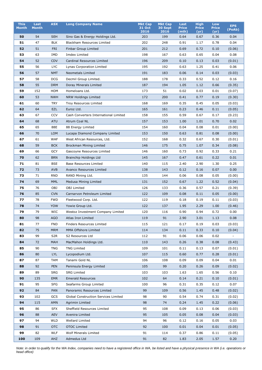| <b>This</b>  | Last         | <b>ASX</b>      | <b>Long Company Name</b>              | <b>Mkt Cap</b> | <b>Mkt Cap</b>  | Last                  | <b>High</b>          | Low                  | <b>EPS</b> |
|--------------|--------------|-----------------|---------------------------------------|----------------|-----------------|-----------------------|----------------------|----------------------|------------|
| <b>Month</b> | <b>Month</b> |                 |                                       | 31 Oct<br>2016 | 30 Sept<br>2016 | <b>Price</b><br>(mth) | <b>Price</b><br>(yr) | <b>Price</b><br>(yr) | (PoAb)     |
| 50           | 54           | <b>SEH</b>      | Sino Gas & Energy Holdings Ltd.       | 203            | 199             | 0.64                  | 0.67                 | 0.36                 | 0.04       |
| 51           | 47           | <b>BLK</b>      | Blackham Resources Limited            | 202            | 248             | 0.91                  | 1.17                 | 0.78                 | 0.04       |
| 52           | 51           | <b>FRI</b>      | <b>Finbar Group Limited</b>           | 201            | 212             | 0.69                  | 0.72                 | 0.10                 | (0.06)     |
| 53           | 63           | <b>IMD</b>      | Imdex Limited                         | 198            | 167             | 0.63                  | 0.65                 | 0.04                 | 0.08       |
| 54           | 52           | <b>CDV</b>      | Cardinal Resources Limited            | 196            | 209             | 0.10                  | 0.13                 | 0.03                 | (0.01)     |
| 55           | 56           | <b>LYC</b>      | Lynas Corporation Limited             | 195            | 192             | 0.63                  | 1.25                 | 0.41                 | 0.06       |
| 56           | 57           | <b>NMT</b>      | <b>Neometals Limited</b>              | 191            | 183             | 0.06                  | 0.14                 | 0.03                 | (0.03)     |
| 57           | 58           | <b>DCG</b>      | Decmil Group Limited.                 | 188            | 178             | 0.33                  | 0.52                 | 0.12                 | 0.16       |
| 58           | 55           | <b>DRM</b>      | Doray Minerals Limited                | 187            | 194             | 1.05                  | 1.12                 | 0.66                 | (0.35)     |
| 59           | 152          | HOM             | Homeloans Ltd.                        | 173            | 51              | 0.02                  | 0.03                 | 0.01                 | (0.07)     |
| 60           | 53           | <b>NWH</b>      | NRW Holdings Limited                  | 172            | 200             | 0.41                  | 0.77                 | 0.19                 | (0.30)     |
| 61           | 60           | <b>TRY</b>      | Troy Resources Limited                | 168            | 169             | 0.35                  | 0.45                 | 0.05                 | (0.03)     |
| 62           | 64           | <b>EZL</b>      | Euroz Ltd.                            | 165            | 161             | 0.23                  | 0.46                 | 0.11                 | (0.05)     |
| 63           | 67           | <b>CCV</b>      | Cash Converters International Limited | 158            | 155             | 0.59                  | 0.67                 | 0.17                 | (0.23)     |
| 64           | 68           | <b>ATU</b>      | Atrum Coal NL                         | 157            | 153             | 1.00                  | 1.01                 | 0.70                 | 0.02       |
| 65           | 65           | 88E             | 88 Energy Limited                     | 154            | 160             | 0.04                  | 0.08                 | 0.01                 | (0.00)     |
| 66           | 70           | <b>LOM</b>      | Lucapa Diamond Company Limited        | 153            | 150             | 0.63                  | 0.81                 | 0.08                 | (0.00)     |
| 67           | 61           | <b>WAF</b>      | West African Resources, Ltd.          | 152            | 168             | 0.32                  | 0.67                 | 0.30                 | (0.01)     |
| 68           | 59           | <b>BCK</b>      | Brockman Mining Limited               | 146            | 175             | 0.75                  | 1.07                 | 0.34                 | (0.08)     |
| 69           | 66           | <b>GCY</b>      | Gascoyne Resources Limited            | 146            | 160             | 0.73                  | 0.92                 | 0.33                 | 0.21       |
| 70           | 62           | <b>BRN</b>      | Brainchip Holdings Ltd                | 145            | 167             | 0.47                  | 0.61                 | 0.22                 | 0.01       |
| 71           | 81           | <b>BSE</b>      | <b>Base Resources Limited</b>         | 140            | 115             | 2.40                  | 2.90                 | 1.30                 | 0.25       |
| 72           | 73           | <b>AVB</b>      | Avanco Resources Limited              | 138            | 143             | 0.12                  | 0.16                 | 0.07                 | 0.00       |
| 73           | 71           | <b>RND</b>      | RAND Mining Ltd.                      | 135            | 144             | 0.06                  | 0.08                 | 0.05                 | (0.00)     |
| 74           | 69           | <b>MML</b>      | Medusa Mining Limited                 | 131            | 152             | 0.67                  | 1.22                 | 0.52                 | (0.04)     |
| 75           | 76           | OBJ             | <b>OBJ</b> Limited                    | 126            | 133             | 0.36                  | 0.57                 | 0.21                 | (0.39)     |
| 76           | 85           | <b>CVN</b>      | Carnarvon Petroleum Limited           | 122            | 109             | 0.08                  | 0.11                 | 0.05                 | (0.00)     |
| 77           | 78           | FWD             | Fleetwood Corp. Ltd.                  | 122            | 119             | 0.18                  | 0.19                 | 0.11                 | (0.03)     |
| 78           | 74           | <b>YOW</b>      | Yowie Group Ltd.                      | 122            | 137             | 1.95                  | 2.29                 | 1.00                 | (0.46)     |
| 79           | 79           | <b>WIC</b>      | Westoz Investment Company Limited     | 120            | 116             | 0.90                  | 0.94                 | 0.72                 | 0.00       |
| 80           | 98           | <b>AGO</b>      | Atlas Iron Limited                    | 119            | 91              | 2.90                  | 3.01                 | 1.13                 | 0.08       |
| 81           | 77           | <b>FND</b>      | Finders Resources Limited             | 115            | 121             | 0.17                  | 0.19                 | 0.03                 | (0.03)     |
| 82           | 75           | <b>MRM</b>      | MMA Offshore Limited                  | 114            | 134             | 0.11                  | 0.33                 | 0.10                 | (0.04)     |
| 83           | 99           | S <sub>2R</sub> | S2 Resources Ltd                      | 112            | 91              | 0.06                  | 0.06                 | 0.02                 | $\sim$     |
| 84           | 72           | MAH             | MacMahon Holdings Ltd.                | 110            | 143             | 0.26                  | 0.38                 | 0.08                 | (0.43)     |
| 85           | 90           | <b>TNG</b>      | <b>TNG Limited</b>                    | 109            | 101             | 0.11                  | 0.13                 | 0.07                 | (0.01)     |
| 86           | 80           | LYL             | Lycopodium Ltd.                       | 107            | 115             | 0.60                  | 0.77                 | 0.28                 | (0.01)     |
| 87           | 87           | <b>TAM</b>      | Tanami Gold NL                        | 106            | 108             | 0.09                  | 0.09                 | 0.04                 | 0.01       |
| 88           | 92           | <b>PEN</b>      | Peninsula Energy Limited              | 105            | 99              | 0.20                  | 0.26                 | 0.09                 | (0.02)     |
| 89           | 89           | <b>SRG</b>      | <b>SRG Limited</b>                    | 103            | 103             | 1.63                  | 1.65                 | 0.56                 | 0.10       |
| 90           | 135          | <b>EMR</b>      | <b>Emerald Resources</b>              | 102            | 64              | 0.14                  | 0.21                 | 0.10                 | (0.01)     |
| 91           | 95           | <b>SFG</b>      | Seafarms Group Limited                | 100            | 96              | 0.31                  | 0.35                 | 0.12                 | 0.07       |
| 92           | 84           | PAN             | Panoramic Resources Limited           | 99             | 109             | 0.56                  | 1.45                 | 0.48                 | (0.02)     |
| 93           | 102          | GCS             | Global Construction Services Limited  | 98             | 90              | 0.54                  | 0.74                 | 0.31                 | (0.02)     |
| 94           | 115          | AMN             | Agrimin Limited                       | 98             | 74              | 0.24                  | 1.45                 | 0.22                 | (0.06)     |
| 95           | 86           | <b>SFX</b>      | Sheffield Resources Limited           | 95             | 108             | 0.09                  | 0.13                 | 0.06                 | (0.03)     |
| 96           | 88           | <b>AEV</b>      | Avenira Limited                       | 95             | 105             | 0.05                  | 0.08                 | 0.04                 | (0.03)     |
| 97           | 94           | <b>WLD</b>      | Wellard Limited                       | 94             | 96              | 0.12                  | 0.16                 | 0.05                 | 0.03       |
| 98           | 91           | <b>OTC</b>      | <b>OTOC Limited</b>                   | 92             | 100             | 0.01                  | 0.04                 | 0.01                 | (0.05)     |
| 99           | 82           | WLF             | Wolf Minerals Limited                 | 91             | 114             | 0.37                  | 0.86                 | 0.11                 | (0.05)     |
| 100          | 109          | <b>AHZ</b>      | Admedus Ltd                           | 91             | 82              | 1.83                  | 2.05                 | 1.57                 | 0.20       |

*Note: in order to qualify for the WA Index, companies need to have a registered office in WA, be listed and have a physical presence in WA (i.e. operations or head office)*